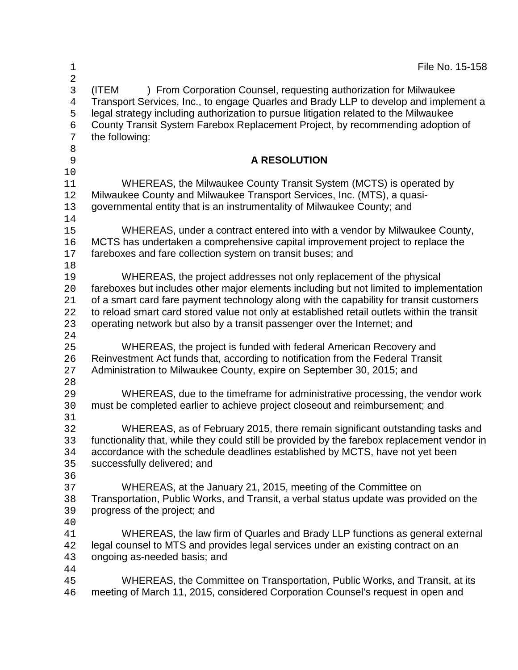| 1<br>$\overline{a}$                                    | File No. 15-158                                                                                                                                                                                                                                                                                                                                                                                                                      |
|--------------------------------------------------------|--------------------------------------------------------------------------------------------------------------------------------------------------------------------------------------------------------------------------------------------------------------------------------------------------------------------------------------------------------------------------------------------------------------------------------------|
| 3<br>$\overline{4}$<br>5<br>$\epsilon$<br>7<br>$\,8\,$ | (ITEM<br>) From Corporation Counsel, requesting authorization for Milwaukee<br>Transport Services, Inc., to engage Quarles and Brady LLP to develop and implement a<br>legal strategy including authorization to pursue litigation related to the Milwaukee<br>County Transit System Farebox Replacement Project, by recommending adoption of<br>the following:                                                                      |
| 9<br>10                                                | <b>A RESOLUTION</b>                                                                                                                                                                                                                                                                                                                                                                                                                  |
| 11<br>12<br>13<br>14                                   | WHEREAS, the Milwaukee County Transit System (MCTS) is operated by<br>Milwaukee County and Milwaukee Transport Services, Inc. (MTS), a quasi-<br>governmental entity that is an instrumentality of Milwaukee County; and                                                                                                                                                                                                             |
| 15<br>16<br>17                                         | WHEREAS, under a contract entered into with a vendor by Milwaukee County,<br>MCTS has undertaken a comprehensive capital improvement project to replace the<br>fareboxes and fare collection system on transit buses; and                                                                                                                                                                                                            |
| 18<br>19<br>20<br>21<br>22<br>23<br>24                 | WHEREAS, the project addresses not only replacement of the physical<br>fareboxes but includes other major elements including but not limited to implementation<br>of a smart card fare payment technology along with the capability for transit customers<br>to reload smart card stored value not only at established retail outlets within the transit<br>operating network but also by a transit passenger over the Internet; and |
| 25<br>26<br>27<br>28                                   | WHEREAS, the project is funded with federal American Recovery and<br>Reinvestment Act funds that, according to notification from the Federal Transit<br>Administration to Milwaukee County, expire on September 30, 2015; and                                                                                                                                                                                                        |
| 29<br>30                                               | WHEREAS, due to the timeframe for administrative processing, the vendor work<br>must be completed earlier to achieve project closeout and reimbursement; and                                                                                                                                                                                                                                                                         |
| 31<br>32<br>33<br>34<br>35                             | WHEREAS, as of February 2015, there remain significant outstanding tasks and<br>functionality that, while they could still be provided by the farebox replacement vendor in<br>accordance with the schedule deadlines established by MCTS, have not yet been<br>successfully delivered; and                                                                                                                                          |
| 36<br>37<br>38<br>39                                   | WHEREAS, at the January 21, 2015, meeting of the Committee on<br>Transportation, Public Works, and Transit, a verbal status update was provided on the<br>progress of the project; and                                                                                                                                                                                                                                               |
| 40<br>41<br>42<br>43                                   | WHEREAS, the law firm of Quarles and Brady LLP functions as general external<br>legal counsel to MTS and provides legal services under an existing contract on an<br>ongoing as-needed basis; and                                                                                                                                                                                                                                    |
| 44<br>45<br>46                                         | WHEREAS, the Committee on Transportation, Public Works, and Transit, at its<br>meeting of March 11, 2015, considered Corporation Counsel's request in open and                                                                                                                                                                                                                                                                       |